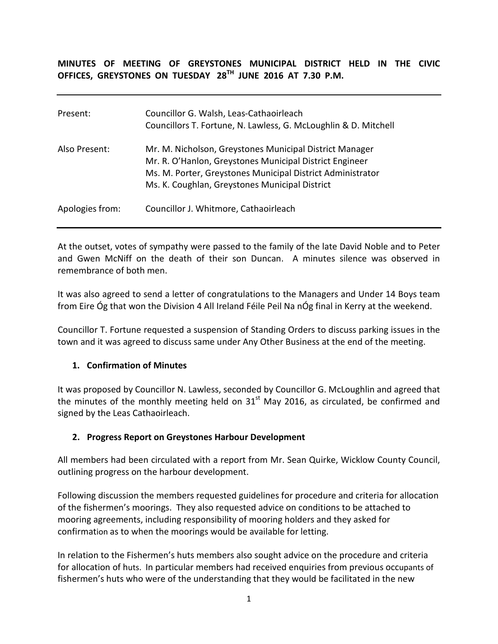**MINUTES OF MEETING OF GREYSTONES MUNICIPAL DISTRICT HELD IN THE CIVIC OFFICES, GREYSTONES ON TUESDAY 28TH JUNE 2016 AT 7.30 P.M.**

| Present:        | Councillor G. Walsh, Leas-Cathaoirleach<br>Councillors T. Fortune, N. Lawless, G. McLoughlin & D. Mitchell                                                                                                                         |
|-----------------|------------------------------------------------------------------------------------------------------------------------------------------------------------------------------------------------------------------------------------|
| Also Present:   | Mr. M. Nicholson, Greystones Municipal District Manager<br>Mr. R. O'Hanlon, Greystones Municipal District Engineer<br>Ms. M. Porter, Greystones Municipal District Administrator<br>Ms. K. Coughlan, Greystones Municipal District |
| Apologies from: | Councillor J. Whitmore, Cathaoirleach                                                                                                                                                                                              |

At the outset, votes of sympathy were passed to the family of the late David Noble and to Peter and Gwen McNiff on the death of their son Duncan. A minutes silence was observed in remembrance of both men.

It was also agreed to send a letter of congratulations to the Managers and Under 14 Boys team from Eire Óg that won the Division 4 All Ireland Féile Peil Na nÓg final in Kerry at the weekend.

Councillor T. Fortune requested a suspension of Standing Orders to discuss parking issues in the town and it was agreed to discuss same under Any Other Business at the end of the meeting.

### **1. Confirmation of Minutes**

It was proposed by Councillor N. Lawless, seconded by Councillor G. McLoughlin and agreed that the minutes of the monthly meeting held on  $31<sup>st</sup>$  May 2016, as circulated, be confirmed and signed by the Leas Cathaoirleach.

### **2. Progress Report on Greystones Harbour Development**

All members had been circulated with a report from Mr. Sean Quirke, Wicklow County Council, outlining progress on the harbour development.

Following discussion the members requested guidelines for procedure and criteria for allocation of the fishermen's moorings. They also requested advice on conditions to be attached to mooring agreements, including responsibility of mooring holders and they asked for confirmation as to when the moorings would be available for letting.

In relation to the Fishermen's huts members also sought advice on the procedure and criteria for allocation of huts. In particular members had received enquiries from previous occupants of fishermen's huts who were of the understanding that they would be facilitated in the new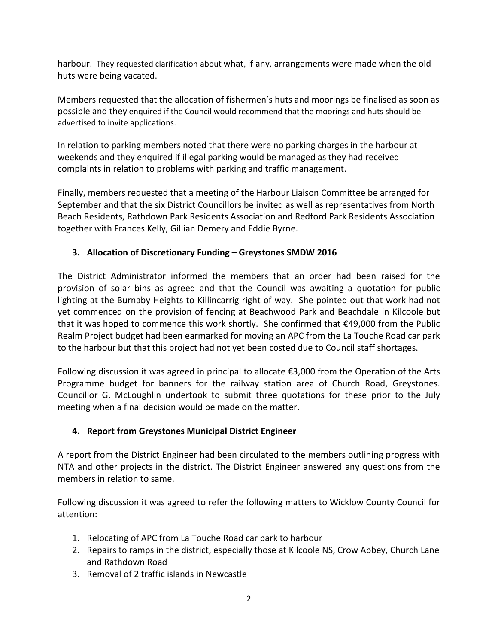harbour. They requested clarification about what, if any, arrangements were made when the old huts were being vacated.

Members requested that the allocation of fishermen's huts and moorings be finalised as soon as possible and they enquired if the Council would recommend that the moorings and huts should be advertised to invite applications.

In relation to parking members noted that there were no parking charges in the harbour at weekends and they enquired if illegal parking would be managed as they had received complaints in relation to problems with parking and traffic management.

Finally, members requested that a meeting of the Harbour Liaison Committee be arranged for September and that the six District Councillors be invited as well as representatives from North Beach Residents, Rathdown Park Residents Association and Redford Park Residents Association together with Frances Kelly, Gillian Demery and Eddie Byrne.

# **3. Allocation of Discretionary Funding – Greystones SMDW 2016**

The District Administrator informed the members that an order had been raised for the provision of solar bins as agreed and that the Council was awaiting a quotation for public lighting at the Burnaby Heights to Killincarrig right of way. She pointed out that work had not yet commenced on the provision of fencing at Beachwood Park and Beachdale in Kilcoole but that it was hoped to commence this work shortly. She confirmed that €49,000 from the Public Realm Project budget had been earmarked for moving an APC from the La Touche Road car park to the harbour but that this project had not yet been costed due to Council staff shortages.

Following discussion it was agreed in principal to allocate €3,000 from the Operation of the Arts Programme budget for banners for the railway station area of Church Road, Greystones. Councillor G. McLoughlin undertook to submit three quotations for these prior to the July meeting when a final decision would be made on the matter.

## **4. Report from Greystones Municipal District Engineer**

A report from the District Engineer had been circulated to the members outlining progress with NTA and other projects in the district. The District Engineer answered any questions from the members in relation to same.

Following discussion it was agreed to refer the following matters to Wicklow County Council for attention:

- 1. Relocating of APC from La Touche Road car park to harbour
- 2. Repairs to ramps in the district, especially those at Kilcoole NS, Crow Abbey, Church Lane and Rathdown Road
- 3. Removal of 2 traffic islands in Newcastle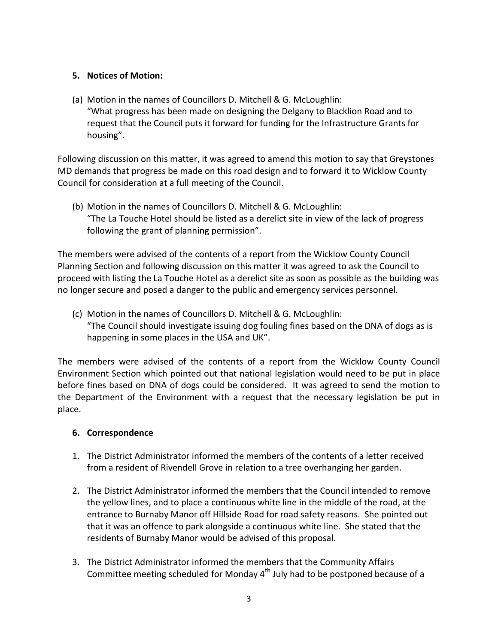### **5. Notices of Motion:**

(a) Motion in the names of Councillors D. Mitchell & G. McLoughlin: "What progress has been made on designing the Delgany to Blacklion Road and to request that the Council puts it forward for funding for the Infrastructure Grants for housing".

Following discussion on this matter, it was agreed to amend this motion to say that Greystones MD demands that progress be made on this road design and to forward it to Wicklow County Council for consideration at a full meeting of the Council.

(b) Motion in the names of Councillors D. Mitchell & G. McLoughlin: "The La Touche Hotel should be listed as a derelict site in view of the lack of progress following the grant of planning permission".

The members were advised of the contents of a report from the Wicklow County Council Planning Section and following discussion on this matter it was agreed to ask the Council to proceed with listing the La Touche Hotel as a derelict site as soon as possible as the building was no longer secure and posed a danger to the public and emergency services personnel.

(c) Motion in the names of Councillors D. Mitchell & G. McLoughlin: "The Council should investigate issuing dog fouling fines based on the DNA of dogs as is happening in some places in the USA and UK".

The members were advised of the contents of a report from the Wicklow County Council Environment Section which pointed out that national legislation would need to be put in place before fines based on DNA of dogs could be considered. It was agreed to send the motion to the Department of the Environment with a request that the necessary legislation be put in place.

### **6. Correspondence**

- 1. The District Administrator informed the members of the contents of a letter received from a resident of Rivendell Grove in relation to a tree overhanging her garden.
- 2. The District Administrator informed the members that the Council intended to remove the yellow lines, and to place a continuous white line in the middle of the road, at the entrance to Burnaby Manor off Hillside Road for road safety reasons. She pointed out that it was an offence to park alongside a continuous white line. She stated that the residents of Burnaby Manor would be advised of this proposal.
- 3. The District Administrator informed the members that the Community Affairs Committee meeting scheduled for Monday 4<sup>th</sup> July had to be postponed because of a